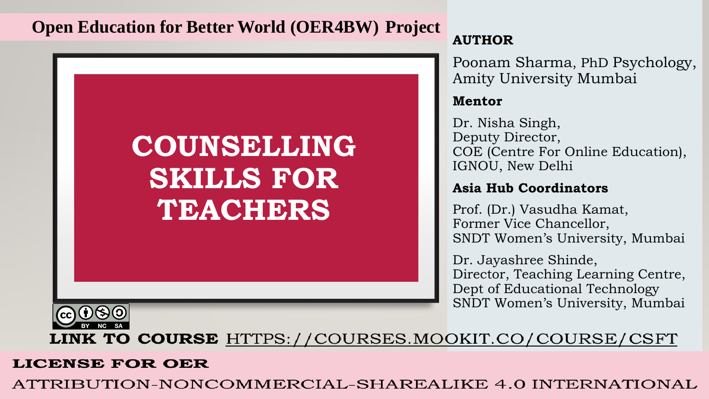### **Open Education for Better World (OER4BW) Project**



### **AUTHOR**

Poonam Sharma, PhD Psychology, Amity University Mumbai

### **Mentor**

Dr. Nisha Singh, Deputy Director, COE (Centre For Online Education), IGNOU, New Delhi

### **Asia Hub Coordinators**

Prof. (Dr.) Vasudha Kamat, Former Vice Chancellor, SNDT Women's University, Mumbai

Dr. Jayashree Shinde, Director, Teaching Learning Centre, Dept of Educational Technology SNDT Women's University, Mumbai



**LINK TO COURSE** HTTPS://COURSES.MOOKIT.CO/COURSE/CSFT

### **LICENSE FOR OER**

ATTRIBUTION-NONCOMMERCIAL-SHAREALIKE 4.0 INTERNATIONAL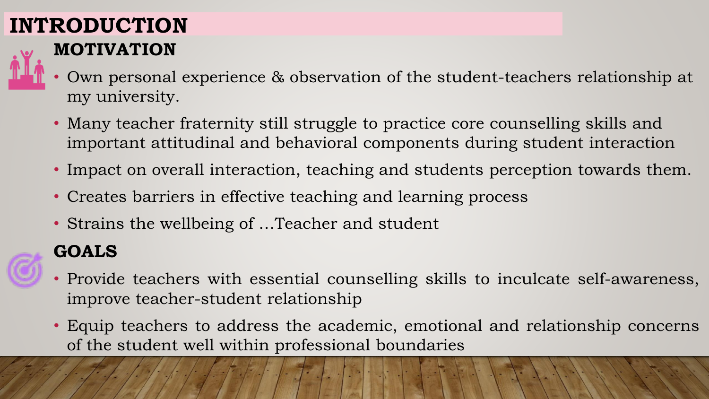# **INTRODUCTION**



- **MOTIVATION**
- Own personal experience & observation of the student-teachers relationship at my university.
- Many teacher fraternity still struggle to practice core counselling skills and important attitudinal and behavioral components during student interaction
- Impact on overall interaction, teaching and students perception towards them.
- Creates barriers in effective teaching and learning process
- Strains the wellbeing of …Teacher and student

## **GOALS**

- Provide teachers with essential counselling skills to inculcate self-awareness, improve teacher-student relationship
- Equip teachers to address the academic, emotional and relationship concerns of the student well within professional boundaries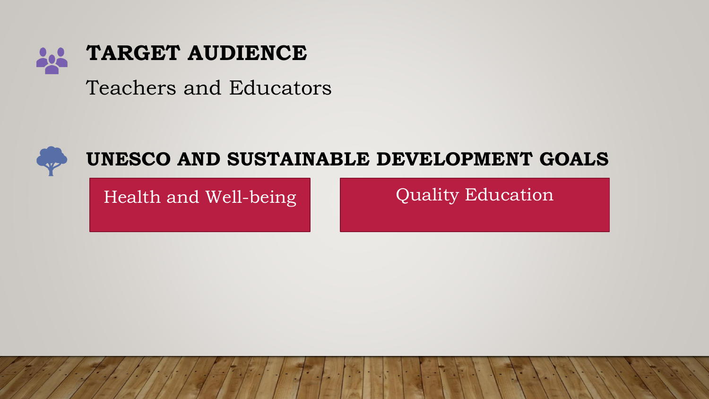

Teachers and Educators



## **UNESCO AND SUSTAINABLE DEVELOPMENT GOALS**

Health and Well-being **Quality Education**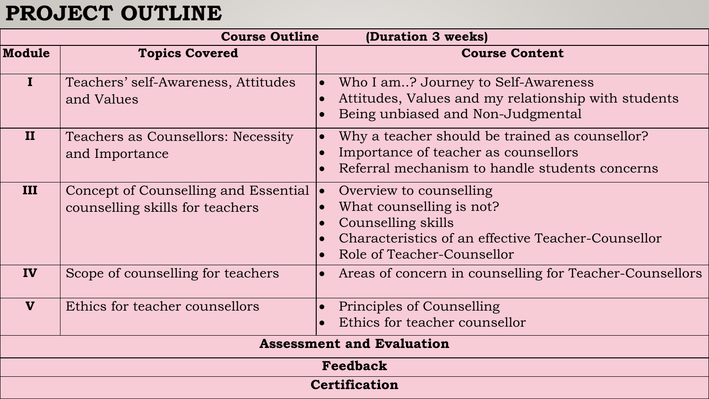## **PROJECT OUTLINE**

| <b>Course Outline</b><br>(Duration 3 weeks) |                                                                         |                                                                                                                                                                            |
|---------------------------------------------|-------------------------------------------------------------------------|----------------------------------------------------------------------------------------------------------------------------------------------------------------------------|
| <b>Module</b>                               | <b>Topics Covered</b>                                                   | <b>Course Content</b>                                                                                                                                                      |
| $\mathbf I$                                 | Teachers' self-Awareness, Attitudes<br>and Values                       | Who I am? Journey to Self-Awareness<br>Attitudes, Values and my relationship with students<br>Being unbiased and Non-Judgmental                                            |
| II                                          | Teachers as Counsellors: Necessity<br>and Importance                    | Why a teacher should be trained as counsellor?<br>$\bullet$<br>Importance of teacher as counsellors<br>Referral mechanism to handle students concerns                      |
| III                                         | Concept of Counselling and Essential<br>counselling skills for teachers | Overview to counselling<br>$\bullet$<br>What counselling is not?<br>Counselling skills<br>Characteristics of an effective Teacher-Counsellor<br>Role of Teacher-Counsellor |
| IV                                          | Scope of counselling for teachers                                       | Areas of concern in counselling for Teacher-Counsellors<br>$\bullet$                                                                                                       |
| $\boldsymbol{\mathrm{v}}$                   | Ethics for teacher counsellors                                          | Principles of Counselling<br>Ethics for teacher counsellor                                                                                                                 |
| <b>Assessment and Evaluation</b>            |                                                                         |                                                                                                                                                                            |
| <b>Feedback</b>                             |                                                                         |                                                                                                                                                                            |
| <b>Certification</b>                        |                                                                         |                                                                                                                                                                            |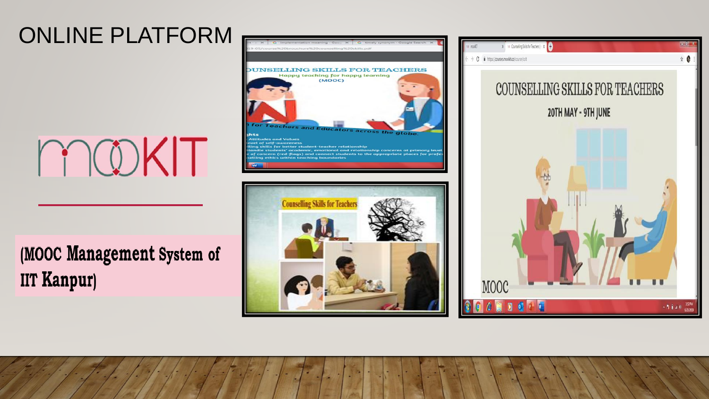# ONLINE PLATFORM



(MOOC Management System of **IIT Kanpur)** 



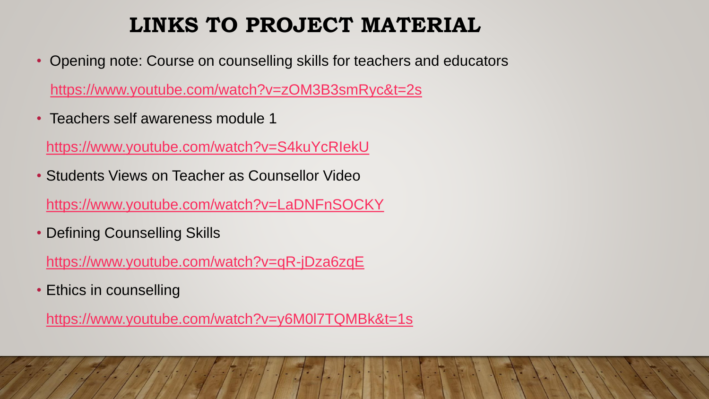## **LINKS TO PROJECT MATERIAL**

• Opening note: Course on counselling skills for teachers and educators

<https://www.youtube.com/watch?v=zOM3B3smRyc&t=2s>

• Teachers self awareness module 1

<https://www.youtube.com/watch?v=S4kuYcRIekU>

• Students Views on Teacher as Counsellor Video

<https://www.youtube.com/watch?v=LaDNFnSOCKY>

• Defining Counselling Skills

<https://www.youtube.com/watch?v=qR-jDza6zqE>

• Ethics in counselling

<https://www.youtube.com/watch?v=y6M0l7TQMBk&t=1s>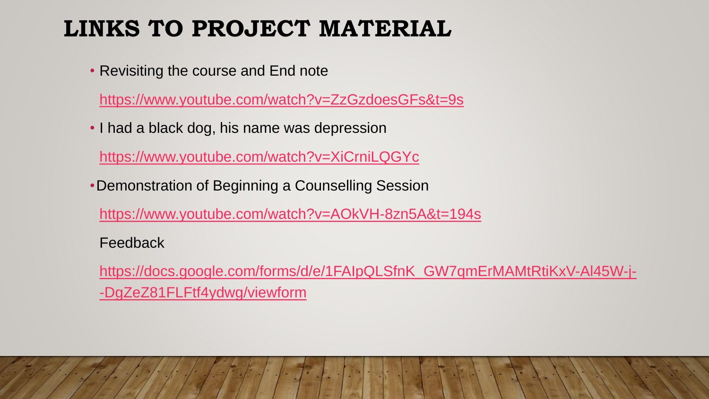# **LINKS TO PROJECT MATERIAL**

• Revisiting the course and End note

<https://www.youtube.com/watch?v=ZzGzdoesGFs&t=9s>

• I had a black dog, his name was depression

<https://www.youtube.com/watch?v=XiCrniLQGYc>

•Demonstration of Beginning a Counselling Session

<https://www.youtube.com/watch?v=AOkVH-8zn5A&t=194s>

Feedback

[https://docs.google.com/forms/d/e/1FAIpQLSfnK\\_GW7qmErMAMtRtiKxV-Al45W-j-](https://docs.google.com/forms/d/e/1FAIpQLSfnK_GW7qmErMAMtRtiKxV-Al45W-j--DgZeZ81FLFtf4ydwg/viewform) -DgZeZ81FLFtf4ydwg/viewform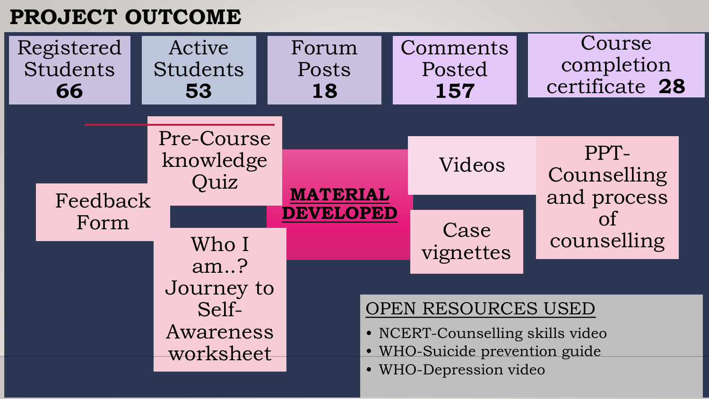## **PROJECT OUTCOME**

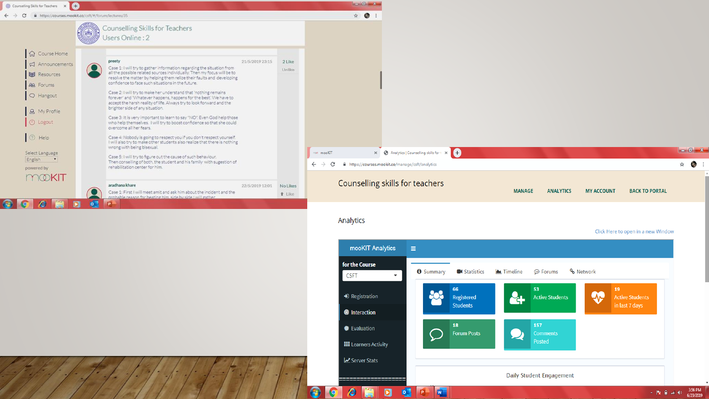

#### Analytics

R

Click Here to open in a new Window

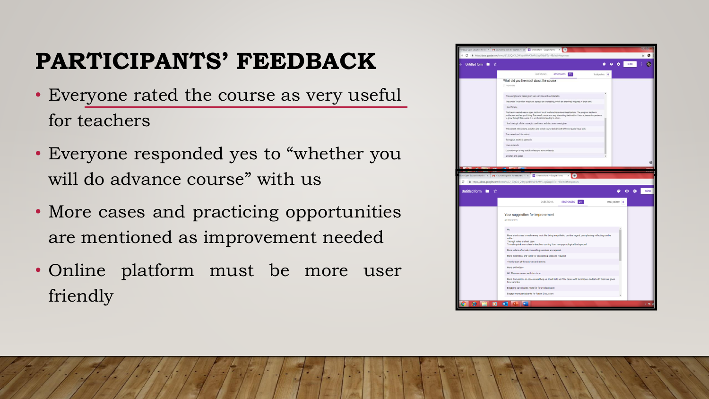# **PARTICIPANTS' FEEDBACK**

- Everyone rated the course as very useful for teachers
- Everyone responded yes to "whether you will do advance course" with us
- More cases and practicing opportunities are mentioned as improvement needed
- Online platform must be more user friendly

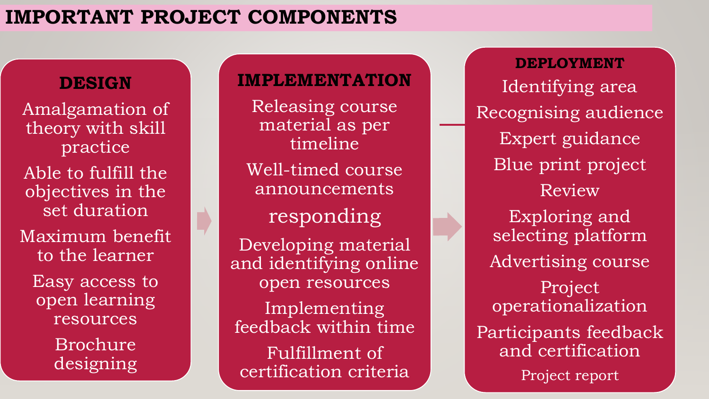### **IMPORTANT PROJECT COMPONENTS**

### **DESIGN**

Amalgamation of theory with skill practice Able to fulfill the objectives in the set duration Maximum benefit to the learner Easy access to open learning resources

Brochure designing

### **IMPLEMENTATION**

Releasing course material as per timeline Well-timed course announcements responding Developing material and identifying online open resources

Implementing feedback within time Fulfillment of

certification criteria

**DEPLOYMENT** Identifying area Recognising audience Expert guidance Blue print project Review Exploring and selecting platform Advertising course Project operationalization Participants feedback and certification Project report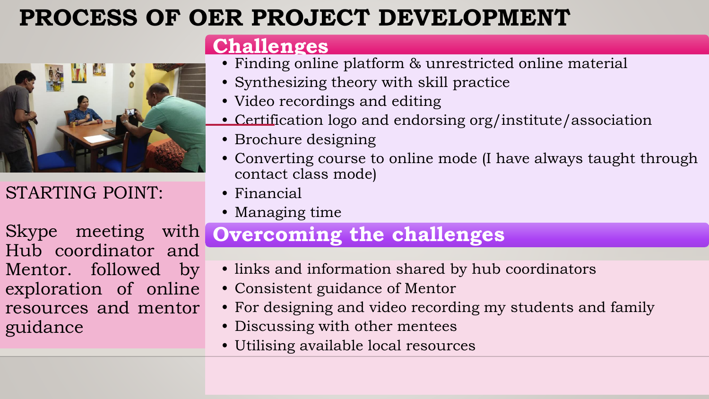# **PROCESS OF OER PROJECT DEVELOPMENT**



STARTING POINT:

Skype meeting with Hub coordinator and Mentor. followed by exploration of online resources and mentor guidance

### **Challenges**

- Finding online platform & unrestricted online material
- Synthesizing theory with skill practice
- Video recordings and editing
- Certification logo and endorsing org/institute/association
- Brochure designing
- Converting course to online mode (I have always taught through contact class mode)
- Financial
- Managing time

## **Overcoming the challenges**

- links and information shared by hub coordinators
- Consistent guidance of Mentor
- For designing and video recording my students and family
- Discussing with other mentees
- Utilising available local resources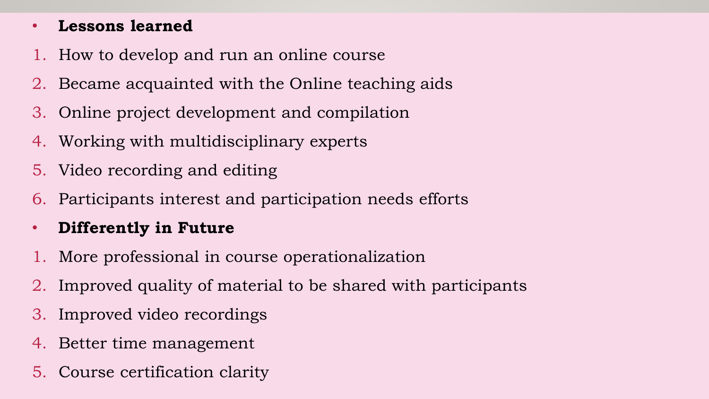### • **Lessons learned**

- 1. How to develop and run an online course
- 2. Became acquainted with the Online teaching aids
- 3. Online project development and compilation
- 4. Working with multidisciplinary experts
- 5. Video recording and editing
- 6. Participants interest and participation needs efforts
- **Differently in Future**
- 1. More professional in course operationalization
- 2. Improved quality of material to be shared with participants
- 3. Improved video recordings
- 4. Better time management
- 5. Course certification clarity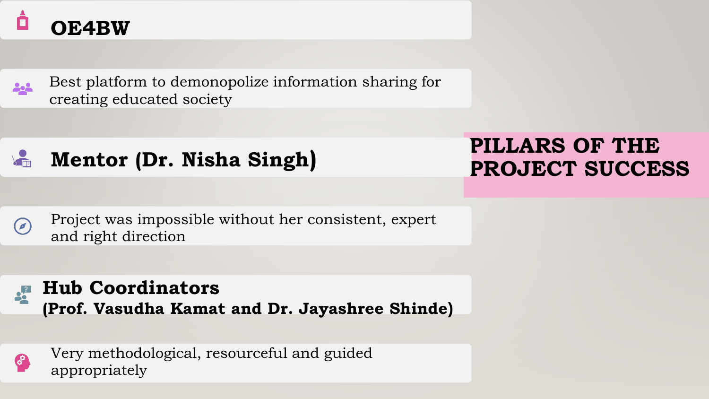# **OE4BW**



Best platform to demonopolize information sharing for creating educated society

 $\sqrt{\frac{2}{\pi}}$ **Mentor (Dr. Nisha Singh)** 

Project was impossible without her consistent, expert  $(\Box)$ and right direction





Very methodological, resourceful and guided appropriately

## **PILLARS OF THE PROJECT SUCCESS**